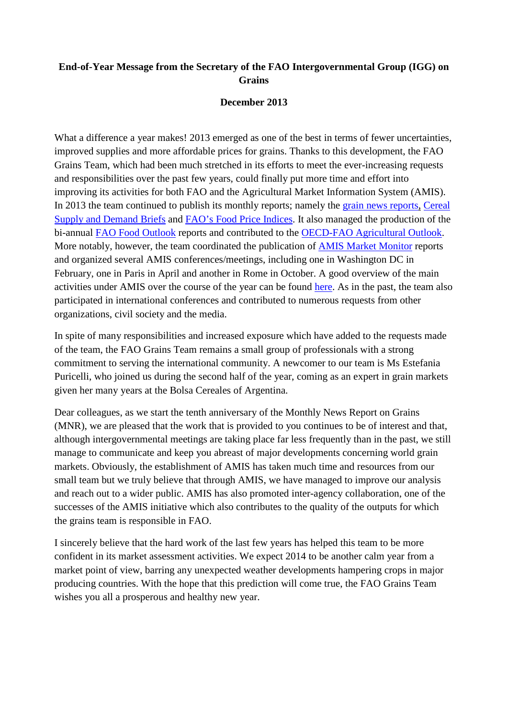## **End-of-Year Message from the Secretary of the FAO Intergovernmental Group (IGG) on Grains**

## **December 2013**

What a difference a year makes! 2013 emerged as one of the best in terms of fewer uncertainties, improved supplies and more affordable prices for grains. Thanks to this development, the FAO Grains Team, which had been much stretched in its efforts to meet the ever-increasing requests and responsibilities over the past few years, could finally put more time and effort into improving its activities for both FAO and the Agricultural Market Information System (AMIS). In 2013 the team continued to publish its monthly reports; namely the [grain news reports,](http://www.fao.org/economic/est/publications/grains-publications/monthly-news-report-on-grains-mnr/en/) [Cereal](http://www.fao.org/worldfoodsituation/csdb/en/)  [Supply and Demand Briefs](http://www.fao.org/worldfoodsituation/csdb/en/) and [FAO's Food Price Indices.](http://www.fao.org/worldfoodsituation/foodpricesindex/en/) It also managed the production of the bi-annual [FAO Food Outlook](http://www.fao.org/giews/english/fo/index.htm) reports and contributed to the [OECD-FAO Agricultural Outlook.](http://www.oecd.org/site/oecd-faoagriculturaloutlook/) More notably, however, the team coordinated the publication of AMIS [Market Monitor](http://www.amis-outlook.org/amis-monitoring/monthly-report/en/) reports and organized several AMIS conferences/meetings, including one in Washington DC in February, one in Paris in April and another in Rome in October. A good overview of the main activities under AMIS over the course of the year can be found [here.](http://www.amis-outlook.org/fileadmin/user_upload/amis/docs/market_group_4/IG4_2013_3.pdf) As in the past, the team also participated in international conferences and contributed to numerous requests from other organizations, civil society and the media.

In spite of many responsibilities and increased exposure which have added to the requests made of the team, the FAO Grains Team remains a small group of professionals with a strong commitment to serving the international community. A newcomer to our team is Ms Estefania Puricelli, who joined us during the second half of the year, coming as an expert in grain markets given her many years at the Bolsa Cereales of Argentina.

Dear colleagues, as we start the tenth anniversary of the Monthly News Report on Grains (MNR), we are pleased that the work that is provided to you continues to be of interest and that, although intergovernmental meetings are taking place far less frequently than in the past, we still manage to communicate and keep you abreast of major developments concerning world grain markets. Obviously, the establishment of AMIS has taken much time and resources from our small team but we truly believe that through AMIS, we have managed to improve our analysis and reach out to a wider public. AMIS has also promoted inter-agency collaboration, one of the successes of the AMIS initiative which also contributes to the quality of the outputs for which the grains team is responsible in FAO.

I sincerely believe that the hard work of the last few years has helped this team to be more confident in its market assessment activities. We expect 2014 to be another calm year from a market point of view, barring any unexpected weather developments hampering crops in major producing countries. With the hope that this prediction will come true, the FAO Grains Team wishes you all a prosperous and healthy new year.